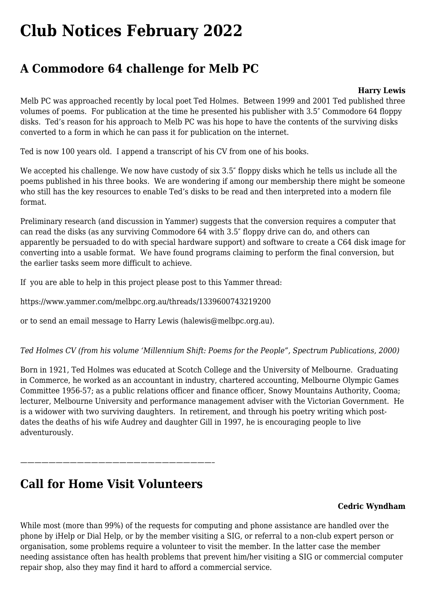# **[Club Notices February 2022](https://www.melbpc.org.au/club-notices-february-2022/)**

### **A Commodore 64 challenge for Melb PC**

#### **Harry Lewis**

Melb PC was approached recently by local poet Ted Holmes. Between 1999 and 2001 Ted published three volumes of poems. For publication at the time he presented his publisher with 3.5″ Commodore 64 floppy disks. Ted's reason for his approach to Melb PC was his hope to have the contents of the surviving disks converted to a form in which he can pass it for publication on the internet.

Ted is now 100 years old. I append a transcript of his CV from one of his books.

We accepted his challenge. We now have custody of six 3.5" floppy disks which he tells us include all the poems published in his three books. We are wondering if among our membership there might be someone who still has the key resources to enable Ted's disks to be read and then interpreted into a modern file format.

Preliminary research (and discussion in Yammer) suggests that the conversion requires a computer that can read the disks (as any surviving Commodore 64 with 3.5″ floppy drive can do, and others can apparently be persuaded to do with special hardware support) and software to create a C64 disk image for converting into a usable format. We have found programs claiming to perform the final conversion, but the earlier tasks seem more difficult to achieve.

If you are able to help in this project please post to this Yammer thread:

<https://www.yammer.com/melbpc.org.au/threads/1339600743219200>

or to send an email message to Harry Lewis ([halewis@melbpc.org.au\)](mailto:halewis@melbpc.org.au).

*Ted Holmes CV (from his volume 'Millennium Shift: Poems for the People", Spectrum Publications, 2000)*

Born in 1921, Ted Holmes was educated at Scotch College and the University of Melbourne. Graduating in Commerce, he worked as an accountant in industry, chartered accounting, Melbourne Olympic Games Committee 1956-57; as a public relations officer and finance officer, Snowy Mountains Authority, Cooma; lecturer, Melbourne University and performance management adviser with the Victorian Government. He is a widower with two surviving daughters. In retirement, and through his poetry writing which postdates the deaths of his wife Audrey and daughter Gill in 1997, he is encouraging people to live adventurously.

*———————————————————————————–*

## **Call for Home Visit Volunteers**

### **Cedric Wyndham**

While most (more than 99%) of the requests for computing and phone assistance are handled over the phone by iHelp or Dial Help, or by the member visiting a SIG, or referral to a non-club expert person or organisation, some problems require a volunteer to visit the member. In the latter case the member needing assistance often has health problems that prevent him/her visiting a SIG or commercial computer repair shop, also they may find it hard to afford a commercial service.